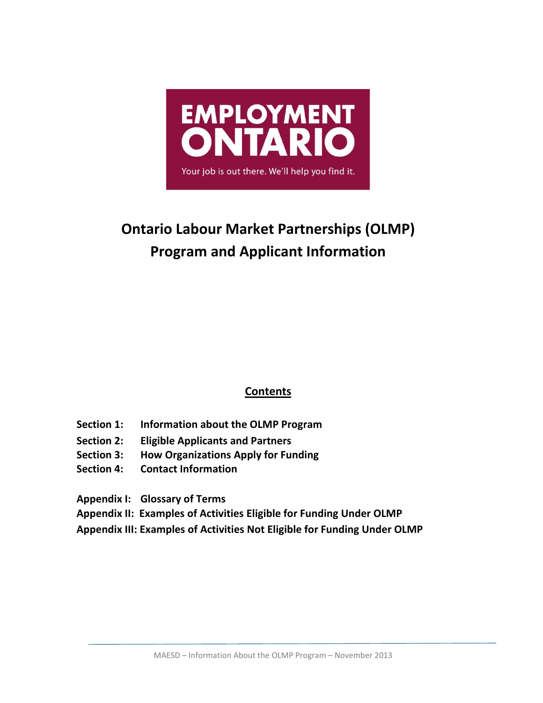

# **Ontario Labour Market Partnerships (OLMP) Program and Applicant Information**

# **Contents**

- **Section 1: Information about the OLMP Program**
- **Section 2: Eligible Applicants and Partners**
- **Section 3: How Organizations Apply for Funding**
- **Section 4: Contact Information**

**Appendix I: Glossary of Terms** 

**Appendix II: Examples of Activities Eligible for Funding Under OLMP** 

**Appendix III: Examples of Activities Not Eligible for Funding Under OLMP**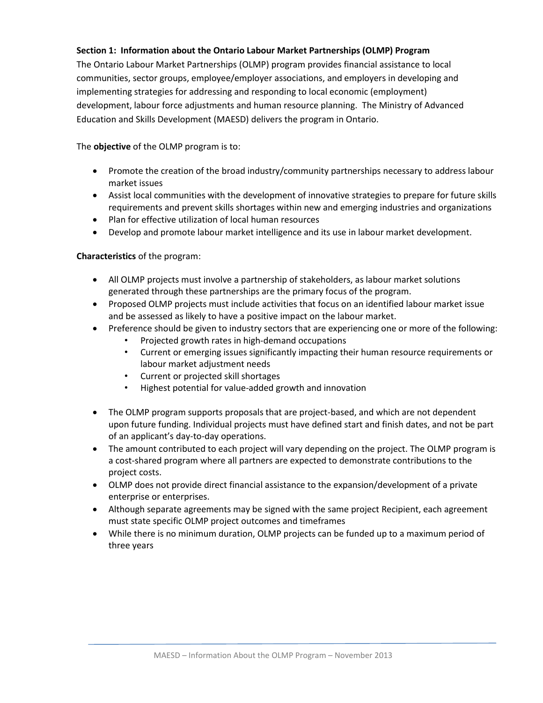# **Section 1: Information about the Ontario Labour Market Partnerships (OLMP) Program**

The Ontario Labour Market Partnerships (OLMP) program provides financial assistance to local communities, sector groups, employee/employer associations, and employers in developing and implementing strategies for addressing and responding to local economic (employment) development, labour force adjustments and human resource planning. The Ministry of Advanced Education and Skills Development (MAESD) delivers the program in Ontario.

The **objective** of the OLMP program is to:

- Promote the creation of the broad industry/community partnerships necessary to address labour market issues
- Assist local communities with the development of innovative strategies to prepare for future skills requirements and prevent skills shortages within new and emerging industries and organizations
- Plan for effective utilization of local human resources
- Develop and promote labour market intelligence and its use in labour market development.

#### **Characteristics** of the program:

- All OLMP projects must involve a partnership of stakeholders, as labour market solutions generated through these partnerships are the primary focus of the program.
- Proposed OLMP projects must include activities that focus on an identified labour market issue and be assessed as likely to have a positive impact on the labour market.
- Preference should be given to industry sectors that are experiencing one or more of the following:
	- Projected growth rates in high-demand occupations
	- Current or emerging issues significantly impacting their human resource requirements or labour market adjustment needs
	- Current or projected skill shortages
	- Highest potential for value-added growth and innovation
- The OLMP program supports proposals that are project-based, and which are not dependent upon future funding. Individual projects must have defined start and finish dates, and not be part of an applicant's day-to-day operations.
- The amount contributed to each project will vary depending on the project. The OLMP program is a cost-shared program where all partners are expected to demonstrate contributions to the project costs.
- OLMP does not provide direct financial assistance to the expansion/development of a private enterprise or enterprises.
- Although separate agreements may be signed with the same project Recipient, each agreement must state specific OLMP project outcomes and timeframes
- While there is no minimum duration, OLMP projects can be funded up to a maximum period of three years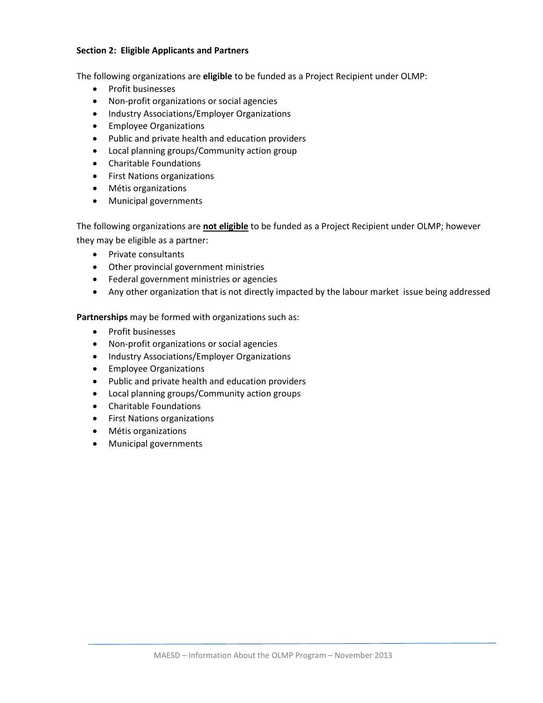#### **Section 2: Eligible Applicants and Partners**

The following organizations are **eligible** to be funded as a Project Recipient under OLMP:

- Profit businesses
- Non-profit organizations or social agencies
- Industry Associations/Employer Organizations
- **•** Employee Organizations
- Public and private health and education providers
- Local planning groups/Community action group
- Charitable Foundations
- First Nations organizations
- Métis organizations
- Municipal governments

The following organizations are **not eligible** to be funded as a Project Recipient under OLMP; however they may be eligible as a partner:

- Private consultants
- Other provincial government ministries
- **•** Federal government ministries or agencies
- Any other organization that is not directly impacted by the labour market issue being addressed

**Partnerships** may be formed with organizations such as:

- Profit businesses
- Non-profit organizations or social agencies
- Industry Associations/Employer Organizations
- **•** Employee Organizations
- Public and private health and education providers
- Local planning groups/Community action groups
- Charitable Foundations
- First Nations organizations
- Métis organizations
- Municipal governments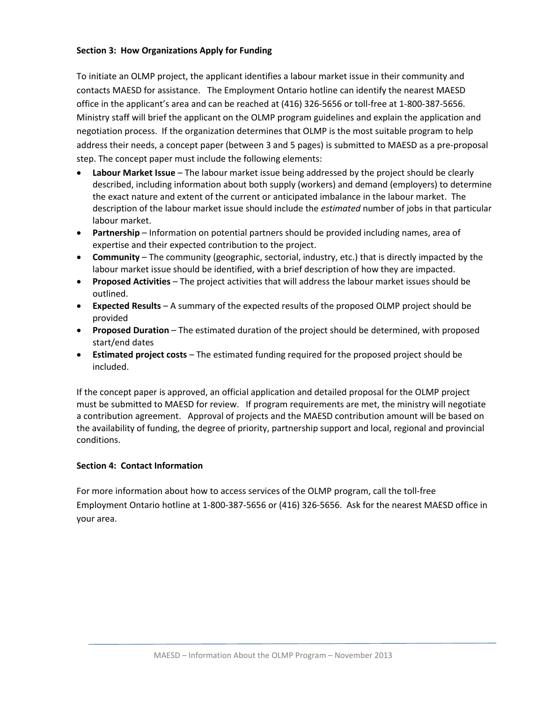#### **Section 3: How Organizations Apply for Funding**

To initiate an OLMP project, the applicant identifies a labour market issue in their community and contacts MAESD for assistance. The Employment Ontario hotline can identify the nearest MAESD office in the applicant's area and can be reached at (416) 326-5656 or toll-free at 1-800-387-5656. Ministry staff will brief the applicant on the OLMP program guidelines and explain the application and negotiation process. If the organization determines that OLMP is the most suitable program to help address their needs, a concept paper (between 3 and 5 pages) is submitted to MAESD as a pre-proposal step. The concept paper must include the following elements:

- **Labour Market Issue** The labour market issue being addressed by the project should be clearly described, including information about both supply (workers) and demand (employers) to determine the exact nature and extent of the current or anticipated imbalance in the labour market. The description of the labour market issue should include the *estimated* number of jobs in that particular labour market.
- **Partnership** Information on potential partners should be provided including names, area of expertise and their expected contribution to the project.
- **Community**  The community (geographic, sectorial, industry, etc.) that is directly impacted by the labour market issue should be identified, with a brief description of how they are impacted.
- **Proposed Activities** The project activities that will address the labour market issues should be outlined.
- **Expected Results** A summary of the expected results of the proposed OLMP project should be provided
- **Proposed Duration** The estimated duration of the project should be determined, with proposed start/end dates
- **Estimated project costs** The estimated funding required for the proposed project should be included.

If the concept paper is approved, an official application and detailed proposal for the OLMP project must be submitted to MAESD for review. If program requirements are met, the ministry will negotiate a contribution agreement. Approval of projects and the MAESD contribution amount will be based on the availability of funding, the degree of priority, partnership support and local, regional and provincial conditions.

#### **Section 4: Contact Information**

For more information about how to access services of the OLMP program, call the toll-free Employment Ontario hotline at 1-800-387-5656 or (416) 326-5656. Ask for the nearest MAESD office in your area.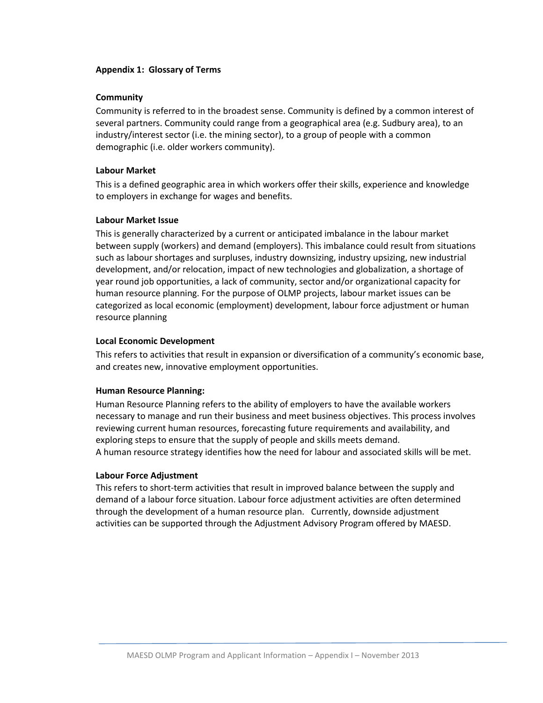#### **Appendix 1: Glossary of Terms**

#### **Community**

Community is referred to in the broadest sense. Community is defined by a common interest of several partners. Community could range from a geographical area (e.g. Sudbury area), to an industry/interest sector (i.e. the mining sector), to a group of people with a common demographic (i.e. older workers community).

#### **Labour Market**

This is a defined geographic area in which workers offer their skills, experience and knowledge to employers in exchange for wages and benefits.

#### **Labour Market Issue**

This is generally characterized by a current or anticipated imbalance in the labour market between supply (workers) and demand (employers). This imbalance could result from situations such as labour shortages and surpluses, industry downsizing, industry upsizing, new industrial development, and/or relocation, impact of new technologies and globalization, a shortage of year round job opportunities, a lack of community, sector and/or organizational capacity for human resource planning. For the purpose of OLMP projects, labour market issues can be categorized as local economic (employment) development, labour force adjustment or human resource planning

#### **Local Economic Development**

This refers to activities that result in expansion or diversification of a community's economic base, and creates new, innovative employment opportunities.

#### **Human Resource Planning:**

Human Resource Planning refers to the ability of employers to have the available workers necessary to manage and run their business and meet business objectives. This process involves reviewing current human resources, forecasting future requirements and availability, and exploring steps to ensure that the supply of people and skills meets demand. A human resource strategy identifies how the need for labour and associated skills will be met.

#### **Labour Force Adjustment**

This refers to short-term activities that result in improved balance between the supply and demand of a labour force situation. Labour force adjustment activities are often determined through the development of a human resource plan. Currently, downside adjustment activities can be supported through the Adjustment Advisory Program offered by MAESD.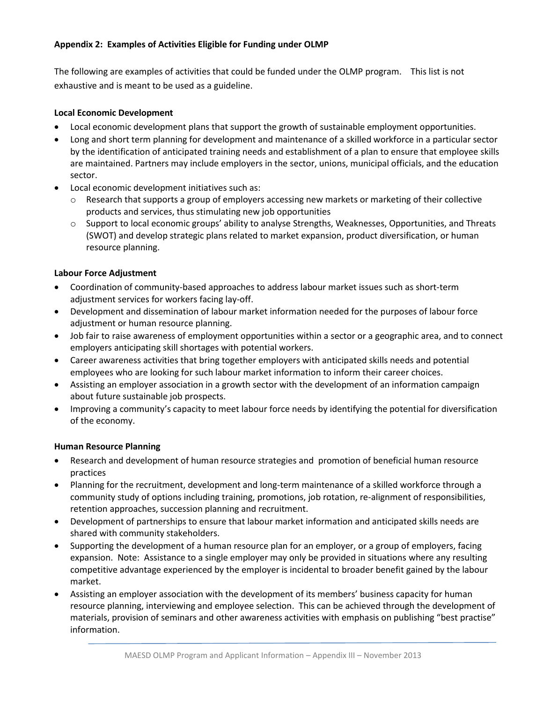# **Appendix 2: Examples of Activities Eligible for Funding under OLMP**

The following are examples of activities that could be funded under the OLMP program. This list is not exhaustive and is meant to be used as a guideline.

# **Local Economic Development**

- Local economic development plans that support the growth of sustainable employment opportunities.
- Long and short term planning for development and maintenance of a skilled workforce in a particular sector by the identification of anticipated training needs and establishment of a plan to ensure that employee skills are maintained. Partners may include employers in the sector, unions, municipal officials, and the education sector.
- Local economic development initiatives such as:
	- $\circ$  Research that supports a group of employers accessing new markets or marketing of their collective products and services, thus stimulating new job opportunities
	- o Support to local economic groups' ability to analyse Strengths, Weaknesses, Opportunities, and Threats (SWOT) and develop strategic plans related to market expansion, product diversification, or human resource planning.

# **Labour Force Adjustment**

- Coordination of community-based approaches to address labour market issues such as short-term adjustment services for workers facing lay-off.
- Development and dissemination of labour market information needed for the purposes of labour force adjustment or human resource planning.
- Job fair to raise awareness of employment opportunities within a sector or a geographic area, and to connect employers anticipating skill shortages with potential workers.
- Career awareness activities that bring together employers with anticipated skills needs and potential employees who are looking for such labour market information to inform their career choices.
- Assisting an employer association in a growth sector with the development of an information campaign about future sustainable job prospects.
- Improving a community's capacity to meet labour force needs by identifying the potential for diversification of the economy.

# **Human Resource Planning**

- Research and development of human resource strategies and promotion of beneficial human resource practices
- Planning for the recruitment, development and long-term maintenance of a skilled workforce through a community study of options including training, promotions, job rotation, re-alignment of responsibilities, retention approaches, succession planning and recruitment.
- Development of partnerships to ensure that labour market information and anticipated skills needs are shared with community stakeholders.
- Supporting the development of a human resource plan for an employer, or a group of employers, facing expansion. Note: Assistance to a single employer may only be provided in situations where any resulting competitive advantage experienced by the employer is incidental to broader benefit gained by the labour market.
- Assisting an employer association with the development of its members' business capacity for human resource planning, interviewing and employee selection. This can be achieved through the development of materials, provision of seminars and other awareness activities with emphasis on publishing "best practise" information.